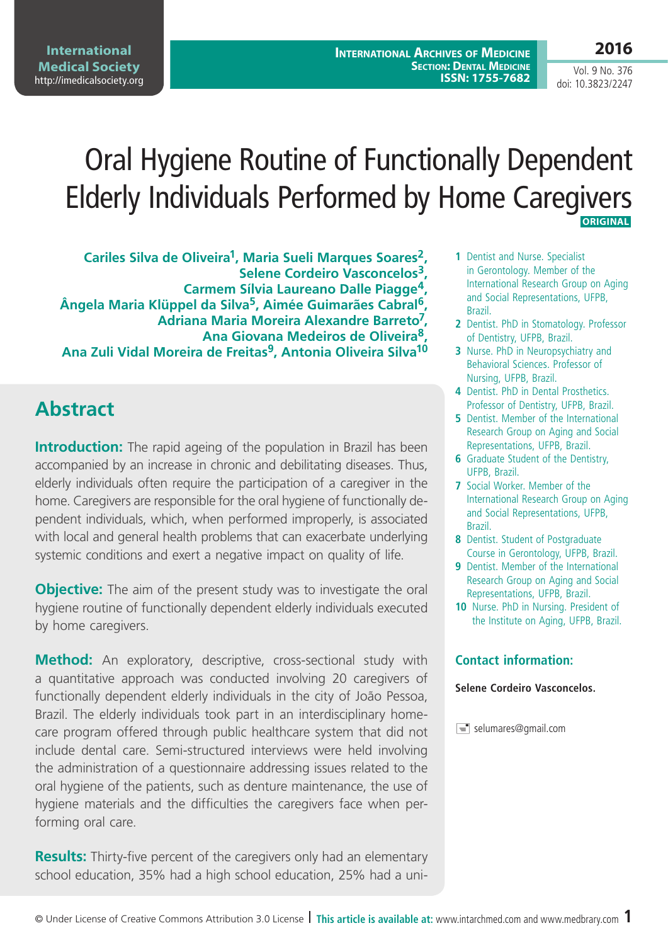**International Archives of Medicine SECTION: DENTAL MEDICINE ISSN: 1755-7682**

Vol. 9 No. 376 doi: 10.3823/2247

# Oral Hygiene Routine of Functionally Dependent Elderly Individuals Performed by Home Caregivers  **ORIGINAL**

**Cariles Silva de Oliveira1, Maria Sueli Marques Soares2, Selene Cordeiro Vasconcelos3, Carmem Sílvia Laureano Dalle Piagge4, Ângela Maria Klüppel da Silva5, Aimée Guimarães Cabral6, Adriana Maria Moreira Alexandre Barreto7, Ana Giovana Medeiros de Oliveira8, Ana Zuli Vidal Moreira de Freitas9, Antonia Oliveira Silva10**

# **Abstract**

**Introduction:** The rapid ageing of the population in Brazil has been accompanied by an increase in chronic and debilitating diseases. Thus, elderly individuals often require the participation of a caregiver in the home. Caregivers are responsible for the oral hygiene of functionally dependent individuals, which, when performed improperly, is associated with local and general health problems that can exacerbate underlying systemic conditions and exert a negative impact on quality of life.

**Objective:** The aim of the present study was to investigate the oral hygiene routine of functionally dependent elderly individuals executed by home caregivers.

**Method:** An exploratory, descriptive, cross-sectional study with a quantitative approach was conducted involving 20 caregivers of functionally dependent elderly individuals in the city of João Pessoa, Brazil. The elderly individuals took part in an interdisciplinary homecare program offered through public healthcare system that did not include dental care. Semi-structured interviews were held involving the administration of a questionnaire addressing issues related to the oral hygiene of the patients, such as denture maintenance, the use of hygiene materials and the difficulties the caregivers face when performing oral care.

**Results:** Thirty-five percent of the caregivers only had an elementary school education, 35% had a high school education, 25% had a uni-

- **1** Dentist and Nurse. Specialist in Gerontology. Member of the International Research Group on Aging and Social Representations, UFPB, Brazil.
- **2** Dentist. PhD in Stomatology. Professor of Dentistry, UFPB, Brazil.
- **3** Nurse. PhD in Neuropsychiatry and Behavioral Sciences. Professor of Nursing, UFPB, Brazil.
- **4** Dentist. PhD in Dental Prosthetics. Professor of Dentistry, UFPB, Brazil.
- **5** Dentist. Member of the International Research Group on Aging and Social Representations, UFPB, Brazil.
- **6** Graduate Student of the Dentistry, UFPB, Brazil.
- **7** Social Worker. Member of the International Research Group on Aging and Social Representations, UFPB, Brazil.
- **8** Dentist. Student of Postgraduate Course in Gerontology, UFPB, Brazil.
- **9** Dentist. Member of the International Research Group on Aging and Social Representations, UFPB, Brazil.
- **10** Nurse. PhD in Nursing. President of the Institute on Aging, UFPB, Brazil.

#### **Contact information:**

#### **Selene Cordeiro Vasconcelos.**

 $\equiv$  selumares@gmail.com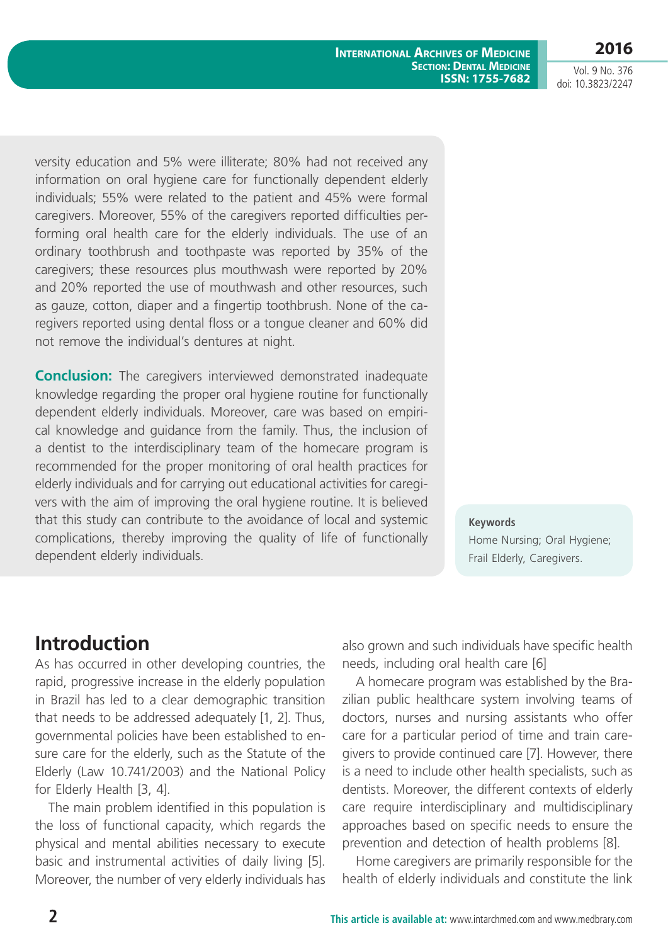Vol. 9 No. 376 doi: 10.3823/2247

versity education and 5% were illiterate; 80% had not received any information on oral hygiene care for functionally dependent elderly individuals; 55% were related to the patient and 45% were formal caregivers. Moreover, 55% of the caregivers reported difficulties performing oral health care for the elderly individuals. The use of an ordinary toothbrush and toothpaste was reported by 35% of the caregivers; these resources plus mouthwash were reported by 20% and 20% reported the use of mouthwash and other resources, such as gauze, cotton, diaper and a fingertip toothbrush. None of the caregivers reported using dental floss or a tongue cleaner and 60% did not remove the individual's dentures at night.

**Conclusion:** The caregivers interviewed demonstrated inadequate knowledge regarding the proper oral hygiene routine for functionally dependent elderly individuals. Moreover, care was based on empirical knowledge and guidance from the family. Thus, the inclusion of a dentist to the interdisciplinary team of the homecare program is recommended for the proper monitoring of oral health practices for elderly individuals and for carrying out educational activities for caregivers with the aim of improving the oral hygiene routine. It is believed that this study can contribute to the avoidance of local and systemic complications, thereby improving the quality of life of functionally dependent elderly individuals.

**Keywords** Home Nursing; Oral Hygiene; Frail Elderly, Caregivers.

## **Introduction**

As has occurred in other developing countries, the rapid, progressive increase in the elderly population in Brazil has led to a clear demographic transition that needs to be addressed adequately [1, 2]. Thus, governmental policies have been established to ensure care for the elderly, such as the Statute of the Elderly (Law 10.741/2003) and the National Policy for Elderly Health [3, 4].

The main problem identified in this population is the loss of functional capacity, which regards the physical and mental abilities necessary to execute basic and instrumental activities of daily living [5]. Moreover, the number of very elderly individuals has also grown and such individuals have specific health needs, including oral health care [6]

A homecare program was established by the Brazilian public healthcare system involving teams of doctors, nurses and nursing assistants who offer care for a particular period of time and train caregivers to provide continued care [7]. However, there is a need to include other health specialists, such as dentists. Moreover, the different contexts of elderly care require interdisciplinary and multidisciplinary approaches based on specific needs to ensure the prevention and detection of health problems [8].

Home caregivers are primarily responsible for the health of elderly individuals and constitute the link

#### **International Archives of Medicine SECTION: DENTAL MEDICINE ISSN: 1755-7682**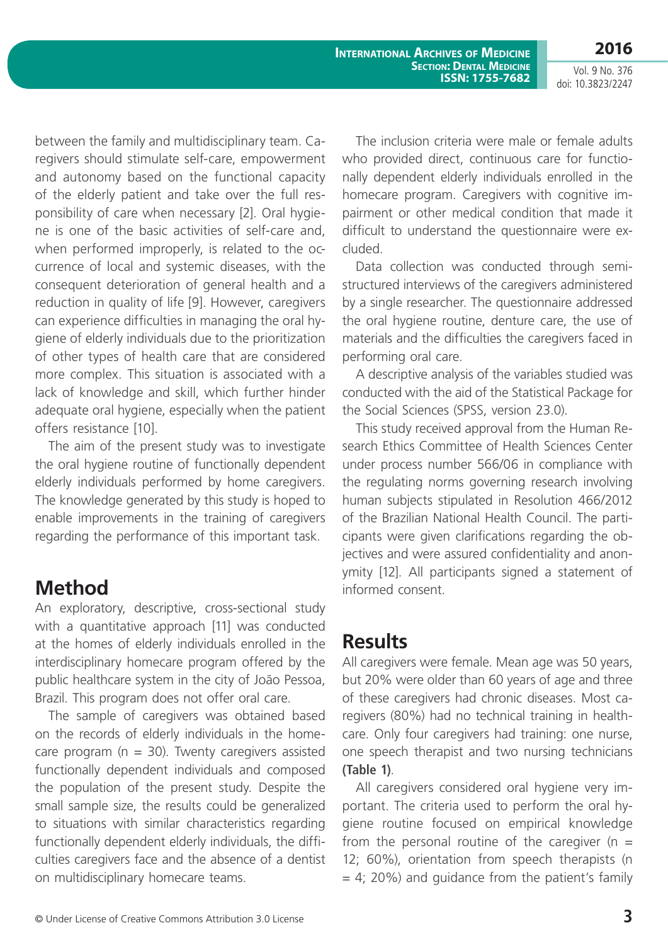**International Archives of Medicine SECTION: DENTAL MEDICINE ISSN: 1755-7682**

Vol. 9 No. 376 doi: 10.3823/2247

**2016**

between the family and multidisciplinary team. Caregivers should stimulate self-care, empowerment and autonomy based on the functional capacity of the elderly patient and take over the full responsibility of care when necessary [2]. Oral hygiene is one of the basic activities of self-care and, when performed improperly, is related to the occurrence of local and systemic diseases, with the consequent deterioration of general health and a reduction in quality of life [9]. However, caregivers can experience difficulties in managing the oral hygiene of elderly individuals due to the prioritization of other types of health care that are considered more complex. This situation is associated with a lack of knowledge and skill, which further hinder adequate oral hygiene, especially when the patient offers resistance [10].

The aim of the present study was to investigate the oral hygiene routine of functionally dependent elderly individuals performed by home caregivers. The knowledge generated by this study is hoped to enable improvements in the training of caregivers regarding the performance of this important task.

# **Method**

An exploratory, descriptive, cross-sectional study with a quantitative approach [11] was conducted at the homes of elderly individuals enrolled in the interdisciplinary homecare program offered by the public healthcare system in the city of João Pessoa, Brazil. This program does not offer oral care.

The sample of caregivers was obtained based on the records of elderly individuals in the homecare program ( $n = 30$ ). Twenty caregivers assisted functionally dependent individuals and composed the population of the present study. Despite the small sample size, the results could be generalized to situations with similar characteristics regarding functionally dependent elderly individuals, the difficulties caregivers face and the absence of a dentist on multidisciplinary homecare teams.

The inclusion criteria were male or female adults who provided direct, continuous care for functionally dependent elderly individuals enrolled in the homecare program. Caregivers with cognitive impairment or other medical condition that made it difficult to understand the questionnaire were excluded.

Data collection was conducted through semistructured interviews of the caregivers administered by a single researcher. The questionnaire addressed the oral hygiene routine, denture care, the use of materials and the difficulties the caregivers faced in performing oral care.

A descriptive analysis of the variables studied was conducted with the aid of the Statistical Package for the Social Sciences (SPSS, version 23.0).

This study received approval from the Human Research Ethics Committee of Health Sciences Center under process number 566/06 in compliance with the regulating norms governing research involving human subjects stipulated in Resolution 466/2012 of the Brazilian National Health Council. The participants were given clarifications regarding the objectives and were assured confidentiality and anonymity [12]. All participants signed a statement of informed consent.

#### **Results**

All caregivers were female. Mean age was 50 years, but 20% were older than 60 years of age and three of these caregivers had chronic diseases. Most caregivers (80%) had no technical training in healthcare. Only four caregivers had training: one nurse, one speech therapist and two nursing technicians **(Table 1)**.

All caregivers considered oral hygiene very important. The criteria used to perform the oral hygiene routine focused on empirical knowledge from the personal routine of the caregiver ( $n =$ 12; 60%), orientation from speech therapists (n  $= 4$ ; 20%) and guidance from the patient's family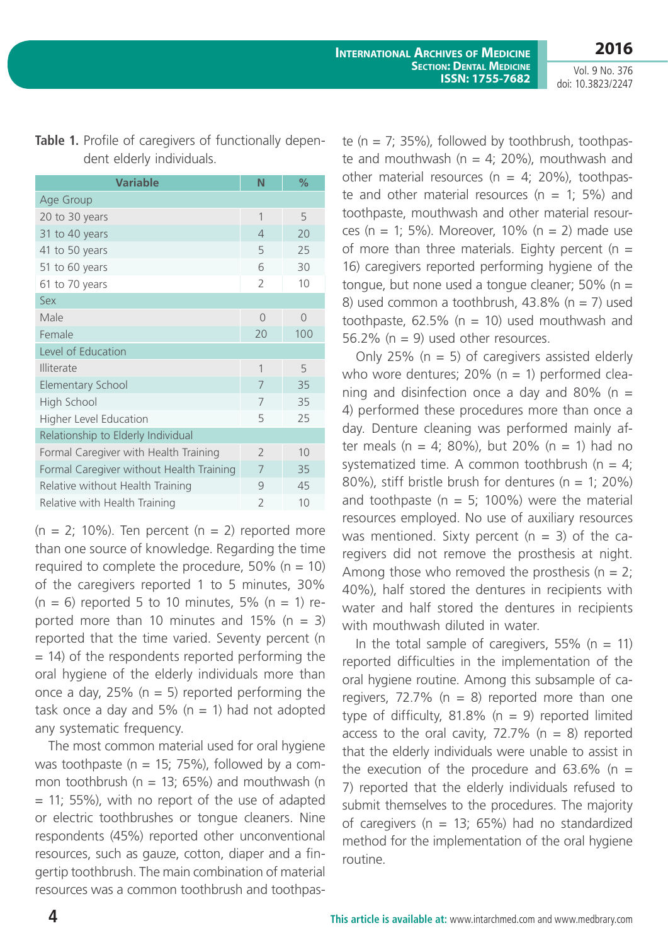Vol. 9 No. 376 doi: 10.3823/2247

| <b>Variable</b>                          | N                        | %         |
|------------------------------------------|--------------------------|-----------|
| Age Group                                |                          |           |
| 20 to 30 years                           | $\mathbf{1}$             | 5         |
| 31 to 40 years                           | $\overline{\mathcal{A}}$ | 20        |
| 41 to 50 years                           | 5                        | 25        |
| 51 to 60 years                           | 6                        | 30        |
| 61 to 70 years                           | $\mathcal{P}$            | 10        |
| Sex                                      |                          |           |
| Male                                     | $\bigcap$                | $\bigcap$ |
| Female                                   | 20                       | 100       |
| Level of Education                       |                          |           |
| <b>Illiterate</b>                        | $\mathbf{1}$             | 5         |
| <b>Elementary School</b>                 | 7                        | 35        |
| High School                              | 7                        | 35        |
| <b>Higher Level Education</b>            | 5                        | 25        |
| Relationship to Elderly Individual       |                          |           |
| Formal Caregiver with Health Training    | $\mathcal{P}$            | 10        |
| Formal Caregiver without Health Training | 7                        | 35        |
| Relative without Health Training         | 9                        | 45        |
| Relative with Health Training            | $\mathcal{P}$            | 10        |

**Table 1.** Profile of caregivers of functionally dependent elderly individuals.

 $(n = 2; 10\%)$ . Ten percent  $(n = 2)$  reported more than one source of knowledge. Regarding the time required to complete the procedure,  $50\%$  (n = 10) of the caregivers reported 1 to 5 minutes, 30%  $(n = 6)$  reported 5 to 10 minutes, 5%  $(n = 1)$  reported more than 10 minutes and 15%  $(n = 3)$ reported that the time varied. Seventy percent (n = 14) of the respondents reported performing the oral hygiene of the elderly individuals more than once a day,  $25\%$  (n = 5) reported performing the task once a day and  $5\%$  (n = 1) had not adopted any systematic frequency.

The most common material used for oral hygiene was toothpaste ( $n = 15$ ; 75%), followed by a common toothbrush ( $n = 13$ ; 65%) and mouthwash ( $n = 13$ )  $= 11$ ; 55%), with no report of the use of adapted or electric toothbrushes or tongue cleaners. Nine respondents (45%) reported other unconventional resources, such as gauze, cotton, diaper and a fingertip toothbrush. The main combination of material resources was a common toothbrush and toothpaste ( $n = 7$ ; 35%), followed by toothbrush, toothpaste and mouthwash ( $n = 4$ ; 20%), mouthwash and other material resources ( $n = 4$ ; 20%), toothpaste and other material resources ( $n = 1$ ; 5%) and toothpaste, mouthwash and other material resources (n = 1; 5%). Moreover, 10% (n = 2) made use of more than three materials. Eighty percent ( $n =$ 16) caregivers reported performing hygiene of the tongue, but none used a tongue cleaner;  $50\%$  (n = 8) used common a toothbrush,  $43.8\%$  (n = 7) used toothpaste,  $62.5\%$  (n = 10) used mouthwash and 56.2% ( $n = 9$ ) used other resources.

Only 25% ( $n = 5$ ) of caregivers assisted elderly who wore dentures; 20% ( $n = 1$ ) performed cleaning and disinfection once a day and 80% ( $n =$ 4) performed these procedures more than once a day. Denture cleaning was performed mainly after meals (n = 4; 80%), but 20% (n = 1) had no systematized time. A common toothbrush ( $n = 4$ ; 80%), stiff bristle brush for dentures ( $n = 1$ ; 20%) and toothpaste ( $n = 5$ ; 100%) were the material resources employed. No use of auxiliary resources was mentioned. Sixty percent  $(n = 3)$  of the caregivers did not remove the prosthesis at night. Among those who removed the prosthesis ( $n = 2$ ; 40%), half stored the dentures in recipients with water and half stored the dentures in recipients with mouthwash diluted in water.

In the total sample of caregivers, 55% ( $n = 11$ ) reported difficulties in the implementation of the oral hygiene routine. Among this subsample of caregivers, 72.7% ( $n = 8$ ) reported more than one type of difficulty, 81.8% ( $n = 9$ ) reported limited access to the oral cavity, 72.7% ( $n = 8$ ) reported that the elderly individuals were unable to assist in the execution of the procedure and  $63.6\%$  (n = 7) reported that the elderly individuals refused to submit themselves to the procedures. The majority of caregivers ( $n = 13$ ; 65%) had no standardized method for the implementation of the oral hygiene routine.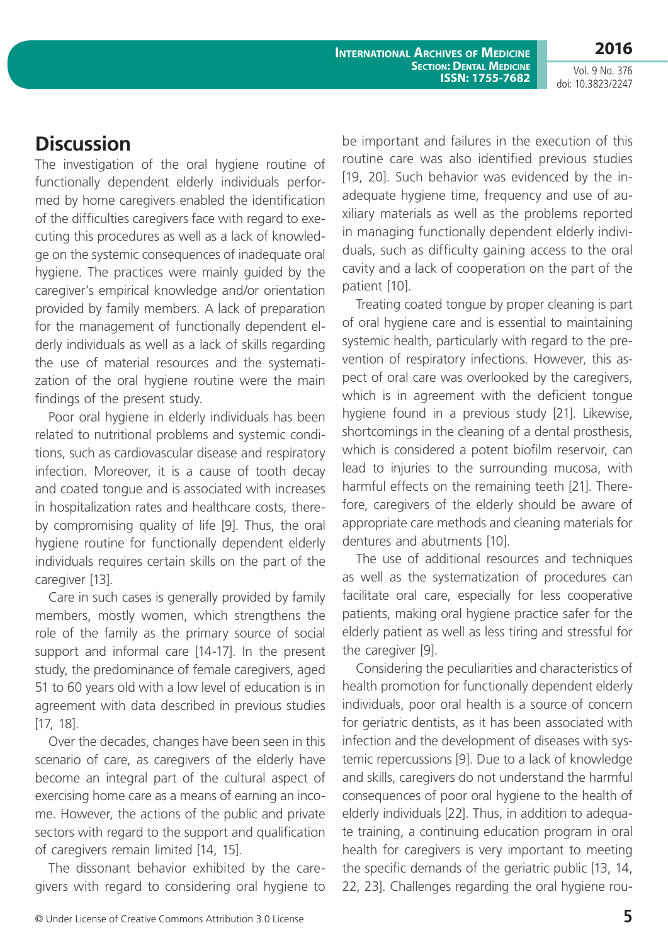**2016**

Vol. 9 No. 376 doi: 10.3823/2247

## **Discussion**

The investigation of the oral hygiene routine of functionally dependent elderly individuals performed by home caregivers enabled the identification of the difficulties caregivers face with regard to executing this procedures as well as a lack of knowledge on the systemic consequences of inadequate oral hygiene. The practices were mainly guided by the caregiver's empirical knowledge and/or orientation provided by family members. A lack of preparation for the management of functionally dependent elderly individuals as well as a lack of skills regarding the use of material resources and the systematization of the oral hygiene routine were the main findings of the present study.

Poor oral hygiene in elderly individuals has been related to nutritional problems and systemic conditions, such as cardiovascular disease and respiratory infection. Moreover, it is a cause of tooth decay and coated tongue and is associated with increases in hospitalization rates and healthcare costs, thereby compromising quality of life [9]. Thus, the oral hygiene routine for functionally dependent elderly individuals requires certain skills on the part of the caregiver [13].

Care in such cases is generally provided by family members, mostly women, which strengthens the role of the family as the primary source of social support and informal care [14-17]. In the present study, the predominance of female caregivers, aged 51 to 60 years old with a low level of education is in agreement with data described in previous studies [17, 18].

Over the decades, changes have been seen in this scenario of care, as caregivers of the elderly have become an integral part of the cultural aspect of exercising home care as a means of earning an income. However, the actions of the public and private sectors with regard to the support and qualification of caregivers remain limited [14, 15].

The dissonant behavior exhibited by the caregivers with regard to considering oral hygiene to be important and failures in the execution of this routine care was also identified previous studies [19, 20]. Such behavior was evidenced by the inadequate hygiene time, frequency and use of auxiliary materials as well as the problems reported in managing functionally dependent elderly individuals, such as difficulty gaining access to the oral cavity and a lack of cooperation on the part of the patient [10].

Treating coated tongue by proper cleaning is part of oral hygiene care and is essential to maintaining systemic health, particularly with regard to the prevention of respiratory infections. However, this aspect of oral care was overlooked by the caregivers, which is in agreement with the deficient tongue hygiene found in a previous study [21]. Likewise, shortcomings in the cleaning of a dental prosthesis, which is considered a potent biofilm reservoir, can lead to injuries to the surrounding mucosa, with harmful effects on the remaining teeth [21]. Therefore, caregivers of the elderly should be aware of appropriate care methods and cleaning materials for dentures and abutments [10].

The use of additional resources and techniques as well as the systematization of procedures can facilitate oral care, especially for less cooperative patients, making oral hygiene practice safer for the elderly patient as well as less tiring and stressful for the caregiver [9].

Considering the peculiarities and characteristics of health promotion for functionally dependent elderly individuals, poor oral health is a source of concern for geriatric dentists, as it has been associated with infection and the development of diseases with systemic repercussions [9]. Due to a lack of knowledge and skills, caregivers do not understand the harmful consequences of poor oral hygiene to the health of elderly individuals [22]. Thus, in addition to adequate training, a continuing education program in oral health for caregivers is very important to meeting the specific demands of the geriatric public [13, 14, 22, 23]. Challenges regarding the oral hygiene rou-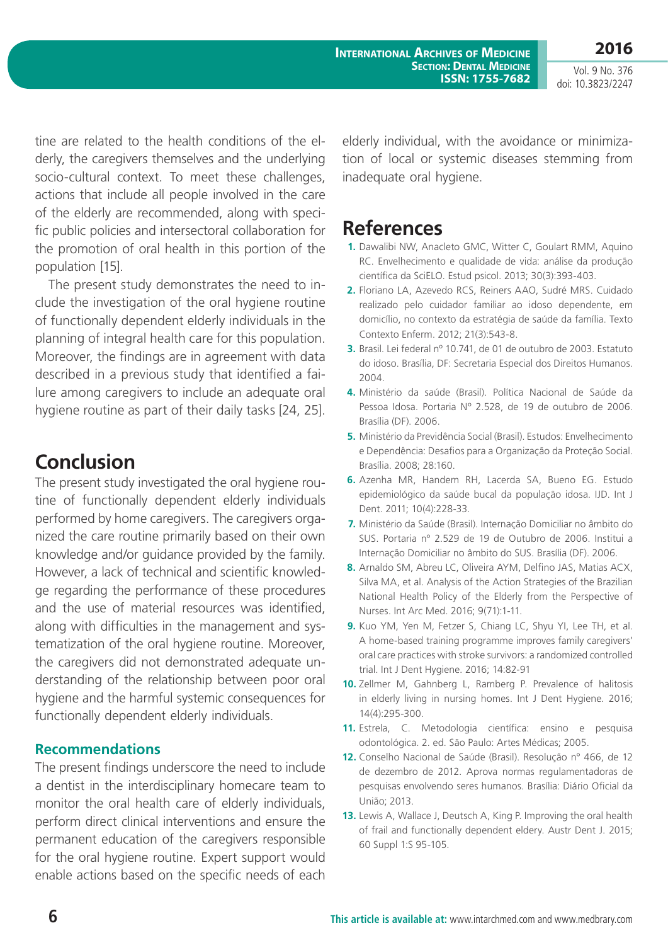**International Archives of Medicine SECTION: DENTAL MEDICINE ISSN: 1755-7682** **2016**

Vol. 9 No. 376 doi: 10.3823/2247

tine are related to the health conditions of the elderly, the caregivers themselves and the underlying socio-cultural context. To meet these challenges, actions that include all people involved in the care of the elderly are recommended, along with specific public policies and intersectoral collaboration for the promotion of oral health in this portion of the population [15].

The present study demonstrates the need to include the investigation of the oral hygiene routine of functionally dependent elderly individuals in the planning of integral health care for this population. Moreover, the findings are in agreement with data described in a previous study that identified a failure among caregivers to include an adequate oral hygiene routine as part of their daily tasks [24, 25].

## **Conclusion**

The present study investigated the oral hygiene routine of functionally dependent elderly individuals performed by home caregivers. The caregivers organized the care routine primarily based on their own knowledge and/or guidance provided by the family. However, a lack of technical and scientific knowledge regarding the performance of these procedures and the use of material resources was identified, along with difficulties in the management and systematization of the oral hygiene routine. Moreover, the caregivers did not demonstrated adequate understanding of the relationship between poor oral hygiene and the harmful systemic consequences for functionally dependent elderly individuals.

#### **Recommendations**

The present findings underscore the need to include a dentist in the interdisciplinary homecare team to monitor the oral health care of elderly individuals, perform direct clinical interventions and ensure the permanent education of the caregivers responsible for the oral hygiene routine. Expert support would enable actions based on the specific needs of each elderly individual, with the avoidance or minimization of local or systemic diseases stemming from inadequate oral hygiene.

## **References**

- **1.** Dawalibi NW, Anacleto GMC, Witter C, Goulart RMM, Aquino RC. Envelhecimento e qualidade de vida: análise da produção científica da SciELO. Estud psicol. 2013; 30(3):393-403.
- **2.** Floriano LA, Azevedo RCS, Reiners AAO, Sudré MRS. Cuidado realizado pelo cuidador familiar ao idoso dependente, em domicílio, no contexto da estratégia de saúde da família. Texto Contexto Enferm. 2012; 21(3):543-8.
- **3.** Brasil. Lei federal nº 10.741, de 01 de outubro de 2003. Estatuto do idoso. Brasília, DF: Secretaria Especial dos Direitos Humanos. 2004.
- **4.** Ministério da saúde (Brasil). Política Nacional de Saúde da Pessoa Idosa. Portaria Nº 2.528, de 19 de outubro de 2006. Brasília (DF). 2006.
- **5.** Ministério da Previdência Social (Brasil). Estudos: Envelhecimento e Dependência: Desafios para a Organização da Proteção Social. Brasília. 2008; 28:160.
- **6.** Azenha MR, Handem RH, Lacerda SA, Bueno EG. Estudo epidemiológico da saúde bucal da população idosa. IJD. Int J Dent. 2011; 10(4):228-33.
- **7.** Ministério da Saúde (Brasil). Internação Domiciliar no âmbito do SUS. Portaria nº 2.529 de 19 de Outubro de 2006. Institui a Internação Domiciliar no âmbito do SUS. Brasília (DF). 2006.
- **8.** Arnaldo SM, Abreu LC, Oliveira AYM, Delfino JAS, Matias ACX, Silva MA, et al. Analysis of the Action Strategies of the Brazilian National Health Policy of the Elderly from the Perspective of Nurses. Int Arc Med. 2016; 9(71):1-11.
- **9.** Kuo YM, Yen M, Fetzer S, Chiang LC, Shyu YI, Lee TH, et al. A home-based training programme improves family caregivers' oral care practices with stroke survivors: a randomized controlled trial. Int J Dent Hygiene. 2016; 14:82-91
- **10.** Zellmer M, Gahnberg L, Ramberg P. Prevalence of halitosis in elderly living in nursing homes. Int J Dent Hygiene. 2016; 14(4):295-300.
- **11.** Estrela, C. Metodologia científica: ensino e pesquisa odontológica. 2. ed. São Paulo: Artes Médicas; 2005.
- **12.** Conselho Nacional de Saúde (Brasil). Resolução n° 466, de 12 de dezembro de 2012. Aprova normas regulamentadoras de pesquisas envolvendo seres humanos. Brasília: Diário Oficial da União; 2013.
- **13.** Lewis A, Wallace J, Deutsch A, King P. Improving the oral health of frail and functionally dependent eldery. Austr Dent J. 2015; 60 Suppl 1:S 95-105.